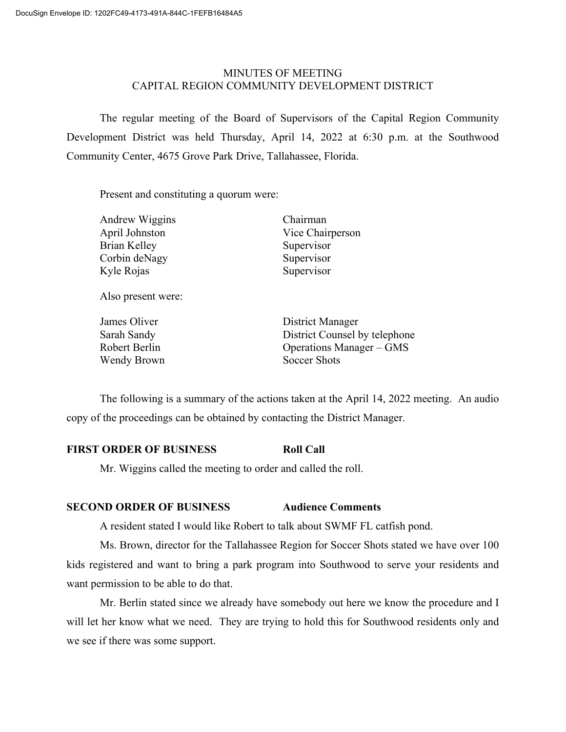## MINUTES OF MEETING CAPITAL REGION COMMUNITY DEVELOPMENT DISTRICT

The regular meeting of the Board of Supervisors of the Capital Region Community Development District was held Thursday, April 14, 2022 at 6:30 p.m. at the Southwood Community Center, 4675 Grove Park Drive, Tallahassee, Florida.

Present and constituting a quorum were:

| <b>Andrew Wiggins</b> | Chairman         |
|-----------------------|------------------|
| April Johnston        | Vice Chairperson |
| Brian Kelley          | Supervisor       |
| Corbin deNagy         | Supervisor       |
| Kyle Rojas            | Supervisor       |
| Also present were:    |                  |
| $I$ ames Oliver       | District Manager |

| James Oliver  | District Manager                |
|---------------|---------------------------------|
| Sarah Sandy   | District Counsel by telephone   |
| Robert Berlin | <b>Operations Manager – GMS</b> |
| Wendy Brown   | Soccer Shots                    |

The following is a summary of the actions taken at the April 14, 2022 meeting. An audio copy of the proceedings can be obtained by contacting the District Manager.

# **FIRST ORDER OF BUSINESS Roll Call**

Mr. Wiggins called the meeting to order and called the roll.

## **SECOND ORDER OF BUSINESS Audience Comments**

A resident stated I would like Robert to talk about SWMF FL catfish pond.

Ms. Brown, director for the Tallahassee Region for Soccer Shots stated we have over 100 kids registered and want to bring a park program into Southwood to serve your residents and want permission to be able to do that.

Mr. Berlin stated since we already have somebody out here we know the procedure and I will let her know what we need. They are trying to hold this for Southwood residents only and we see if there was some support.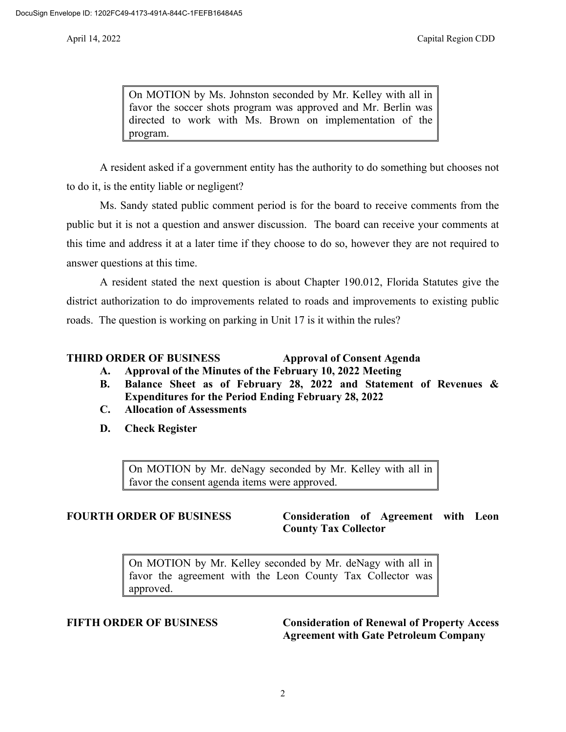On MOTION by Ms. Johnston seconded by Mr. Kelley with all in favor the soccer shots program was approved and Mr. Berlin was directed to work with Ms. Brown on implementation of the program.

A resident asked if a government entity has the authority to do something but chooses not to do it, is the entity liable or negligent?

Ms. Sandy stated public comment period is for the board to receive comments from the public but it is not a question and answer discussion. The board can receive your comments at this time and address it at a later time if they choose to do so, however they are not required to answer questions at this time.

A resident stated the next question is about Chapter 190.012, Florida Statutes give the district authorization to do improvements related to roads and improvements to existing public roads. The question is working on parking in Unit 17 is it within the rules?

#### **THIRD ORDER OF BUSINESS Approval of Consent Agenda**

- **A. Approval of the Minutes of the February 10, 2022 Meeting**
- **B. Balance Sheet as of February 28, 2022 and Statement of Revenues & Expenditures for the Period Ending February 28, 2022**
- **C. Allocation of Assessments**
- **D. Check Register**

On MOTION by Mr. deNagy seconded by Mr. Kelley with all in favor the consent agenda items were approved.

## **FOURTH ORDER OF BUSINESS Consideration of Agreement with Leon County Tax Collector**

On MOTION by Mr. Kelley seconded by Mr. deNagy with all in favor the agreement with the Leon County Tax Collector was approved.

**FIFTH ORDER OF BUSINESS Consideration of Renewal of Property Access Agreement with Gate Petroleum Company**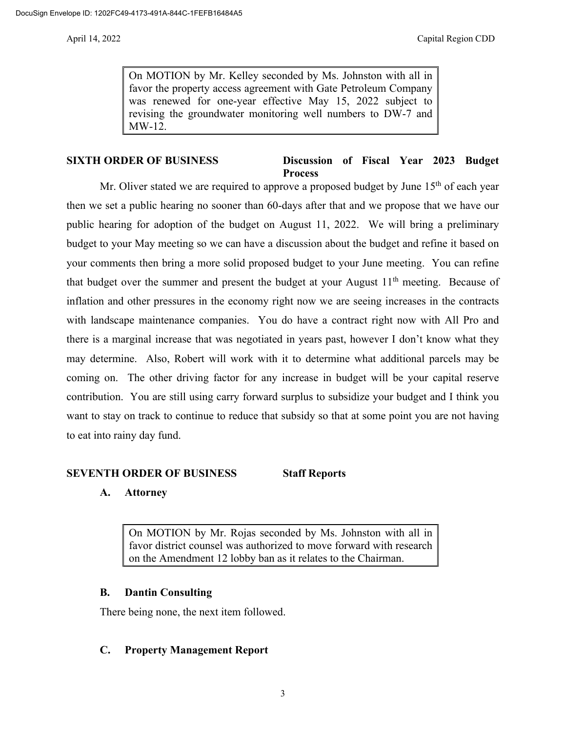On MOTION by Mr. Kelley seconded by Ms. Johnston with all in favor the property access agreement with Gate Petroleum Company was renewed for one-year effective May 15, 2022 subject to revising the groundwater monitoring well numbers to DW-7 and MW-12.

## **SIXTH ORDER OF BUSINESS Discussion of Fiscal Year 2023 Budget Process**

Mr. Oliver stated we are required to approve a proposed budget by June  $15<sup>th</sup>$  of each year then we set a public hearing no sooner than 60-days after that and we propose that we have our public hearing for adoption of the budget on August 11, 2022. We will bring a preliminary budget to your May meeting so we can have a discussion about the budget and refine it based on your comments then bring a more solid proposed budget to your June meeting. You can refine that budget over the summer and present the budget at your August  $11<sup>th</sup>$  meeting. Because of inflation and other pressures in the economy right now we are seeing increases in the contracts with landscape maintenance companies. You do have a contract right now with All Pro and there is a marginal increase that was negotiated in years past, however I don't know what they may determine. Also, Robert will work with it to determine what additional parcels may be coming on. The other driving factor for any increase in budget will be your capital reserve contribution. You are still using carry forward surplus to subsidize your budget and I think you want to stay on track to continue to reduce that subsidy so that at some point you are not having to eat into rainy day fund.

# **SEVENTH ORDER OF BUSINESS Staff Reports**

# **A. Attorney**

On MOTION by Mr. Rojas seconded by Ms. Johnston with all in favor district counsel was authorized to move forward with research on the Amendment 12 lobby ban as it relates to the Chairman.

## **B. Dantin Consulting**

There being none, the next item followed.

## **C. Property Management Report**